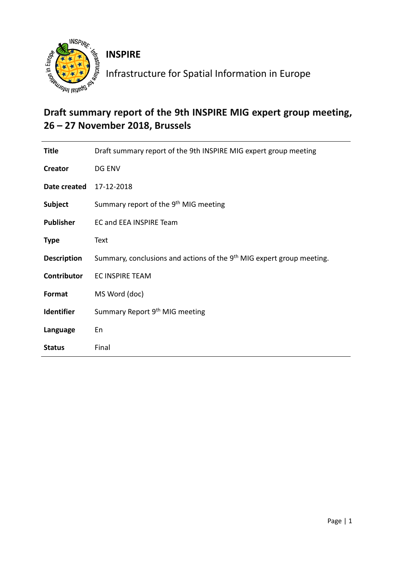

**INSPIRE**

Infrastructure for Spatial Information in Europe

# **Draft summary report of the 9th INSPIRE MIG expert group meeting, 26 – 27 November 2018, Brussels**

| Title              | Draft summary report of the 9th INSPIRE MIG expert group meeting                  |
|--------------------|-----------------------------------------------------------------------------------|
| Creator            | DG ENV                                                                            |
| Date created       | 17-12-2018                                                                        |
| <b>Subject</b>     | Summary report of the 9 <sup>th</sup> MIG meeting                                 |
| <b>Publisher</b>   | EC and EEA INSPIRE Team                                                           |
| <b>Type</b>        | Text                                                                              |
| <b>Description</b> | Summary, conclusions and actions of the 9 <sup>th</sup> MIG expert group meeting. |
| <b>Contributor</b> | <b>EC INSPIRE TEAM</b>                                                            |
| Format             | MS Word (doc)                                                                     |
| Identifier         | Summary Report 9 <sup>th</sup> MIG meeting                                        |
| Language           | En                                                                                |
| <b>Status</b>      | Final                                                                             |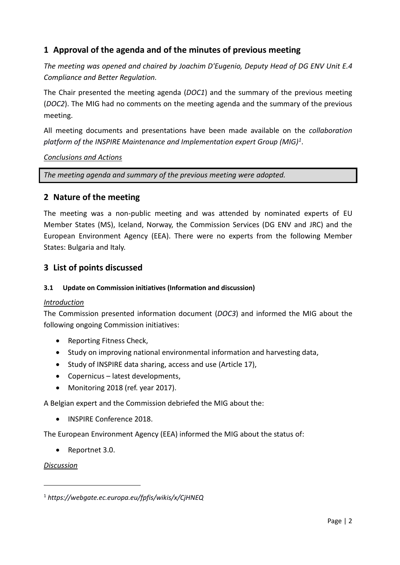# **1 Approval of the agenda and of the minutes of previous meeting**

*The meeting was opened and chaired by Joachim D'Eugenio, Deputy Head of DG ENV Unit E.4 Compliance and Better Regulation.* 

The Chair presented the meeting agenda (*[DOC1](https://webgate.ec.europa.eu/fpfis/wikis/download/attachments/298660106/%5BDOC1_rev%5D_9th%20INSPIRE%20MIG%20Agenda_draft.pdf?version=1&modificationDate=1542643174231&api=v2)*) and the summary of the previous meeting (*[DOC2](https://webgate.ec.europa.eu/fpfis/wikis/download/attachments/298660106/%5BDOC2%5D_Summary%208th%20MIG%20Brussels_draft.pdf?version=1&modificationDate=1542643198683&api=v2)*). The MIG had no comments on the meeting agenda and the summary of the previous meeting.

All meeting documents and presentations have been made available on the *collaboration platform of the INSPIRE Maintenance and Implementation expert Group (MIG)<sup>1</sup>* .

### *Conclusions and Actions*

*The meeting agenda and summary of the previous meeting were adopted.*

### **2 Nature of the meeting**

The meeting was a non-public meeting and was attended by nominated experts of EU Member States (MS), Iceland, Norway, the Commission Services (DG ENV and JRC) and the European Environment Agency (EEA). There were no experts from the following Member States: Bulgaria and Italy.

### **3 List of points discussed**

### **3.1 Update on Commission initiatives (Information and discussion)**

### *Introduction*

The Commission presented information document (*[DOC3](https://webgate.ec.europa.eu/fpfis/wikis/download/attachments/298660106/%5BDOC3%5D_Update%20on%20Commission%20initiatives_draft.pdf?version=1&modificationDate=1543072303110&api=v2)*) and informed the MIG about the following ongoing Commission initiatives:

- Reporting Fitness Check,
- Study on improving national environmental information and harvesting data,
- Study of INSPIRE data sharing, access and use (Article 17),
- Copernicus latest developments,
- Monitoring 2018 (ref. year 2017).

A Belgian expert and the Commission debriefed the MIG about the:

• INSPIRE Conference 2018.

The European Environment Agency (EEA) informed the MIG about the status of:

Reportnet 3.0.

#### *Discussion*

 $\overline{a}$ 

<sup>1</sup> *<https://webgate.ec.europa.eu/fpfis/wikis/x/CjHNEQ>*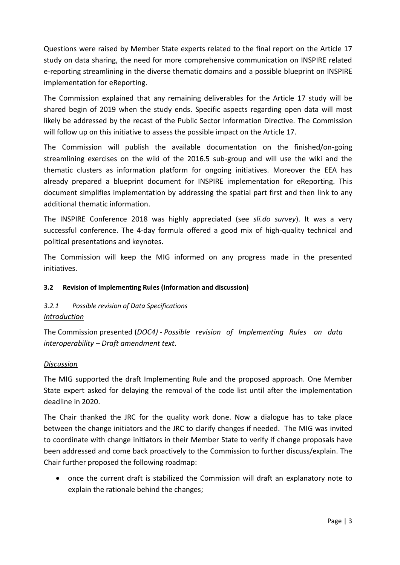Questions were raised by Member State experts related to the final report on the Article 17 study on data sharing, the need for more comprehensive communication on INSPIRE related e-reporting streamlining in the diverse thematic domains and a possible blueprint on INSPIRE implementation for eReporting.

The Commission explained that any remaining deliverables for the Article 17 study will be shared begin of 2019 when the study ends. Specific aspects regarding open data will most likely be addressed by the recast of the Public Sector Information Directive. The Commission will follow up on this initiative to assess the possible impact on the Article 17.

The Commission will publish the available documentation on the finished/on-going streamlining exercises on the wiki of the 2016.5 sub-group and will use the wiki and the thematic clusters as information platform for ongoing initiatives. Moreover the EEA has already prepared a blueprint document for INSPIRE implementation for eReporting. This document simplifies implementation by addressing the spatial part first and then link to any additional thematic information.

The INSPIRE Conference 2018 was highly appreciated (see *[sli.do survey](https://webgate.ec.europa.eu/fpfis/wikis/download/attachments/298660106/Sli.do%20results%20MIG-9.pdf?version=1&modificationDate=1548057398524&api=v2)*). It was a very successful conference. The 4-day formula offered a good mix of high-quality technical and political presentations and keynotes.

The Commission will keep the MIG informed on any progress made in the presented initiatives.

### **3.2 Revision of Implementing Rules (Information and discussion)**

# *3.2.1 Possible revision of Data Specifications Introduction*

The Commission presented (*[DOC4\)](https://webgate.ec.europa.eu/fpfis/wikis/download/attachments/298660106/%5BDOC-4%5D_Regulation%201089-2010%20draft%20amendment.pdf?version=1&modificationDate=1542643240584&api=v2) - Possible revision of Implementing Rules on data interoperability – Draft amendment text*.

#### *Discussion*

The MIG supported the draft Implementing Rule and the proposed approach. One Member State expert asked for delaying the removal of the code list until after the implementation deadline in 2020.

The Chair thanked the JRC for the quality work done. Now a dialogue has to take place between the change initiators and the JRC to clarify changes if needed. The MIG was invited to coordinate with change initiators in their Member State to verify if change proposals have been addressed and come back proactively to the Commission to further discuss/explain. The Chair further proposed the following roadmap:

• once the current draft is stabilized the Commission will draft an explanatory note to explain the rationale behind the changes;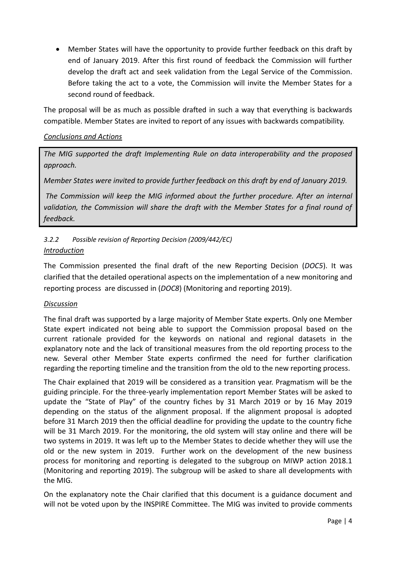Member States will have the opportunity to provide further feedback on this draft by end of January 2019. After this first round of feedback the Commission will further develop the draft act and seek validation from the Legal Service of the Commission. Before taking the act to a vote, the Commission will invite the Member States for a second round of feedback.

The proposal will be as much as possible drafted in such a way that everything is backwards compatible. Member States are invited to report of any issues with backwards compatibility.

### *Conclusions and Actions*

*The MIG supported the draft Implementing Rule on data interoperability and the proposed approach.*

*Member States were invited to provide further feedback on this draft by end of January 2019.*

*The Commission will keep the MIG informed about the further procedure. After an internal validation, the Commission will share the draft with the Member States for a final round of feedback.*

### *3.2.2 Possible revision of Reporting Decision (2009/442/EC) Introduction*

The Commission presented the final draft of the new Reporting Decision (*[DOC5](https://webgate.ec.europa.eu/fpfis/wikis/download/attachments/298660106/%5BDOC5%5D_INSPIRE%20Reporting%20Decision%20v08112018_clean.pdf?version=1&modificationDate=1542643296937&api=v2)*). It was clarified that the detailed operational aspects on the implementation of a new monitoring and reporting process are discussed in (*[DOC8](https://webgate.ec.europa.eu/fpfis/wikis/download/attachments/298660106/%5BDOC8%5D_MIWP_2018.1_Monitoring%20and%20reporting%202019.pdf?version=1&modificationDate=1542643378298&api=v2)*) (Monitoring and reporting 2019).

# *Discussion*

The final draft was supported by a large majority of Member State experts. Only one Member State expert indicated not being able to support the Commission proposal based on the current rationale provided for the keywords on national and regional datasets in the explanatory note and the lack of transitional measures from the old reporting process to the new. Several other Member State experts confirmed the need for further clarification regarding the reporting timeline and the transition from the old to the new reporting process.

The Chair explained that 2019 will be considered as a transition year. Pragmatism will be the guiding principle. For the three-yearly implementation report Member States will be asked to update the "State of Play" of the country fiches by 31 March 2019 or by 16 May 2019 depending on the status of the alignment proposal. If the alignment proposal is adopted before 31 March 2019 then the official deadline for providing the update to the country fiche will be 31 March 2019. For the monitoring, the old system will stay online and there will be two systems in 2019. It was left up to the Member States to decide whether they will use the old or the new system in 2019. Further work on the development of the new business process for monitoring and reporting is delegated to the subgroup on MIWP action 2018.1 (Monitoring and reporting 2019). The subgroup will be asked to share all developments with the MIG.

On the explanatory note the Chair clarified that this document is a guidance document and will not be voted upon by the INSPIRE Committee. The MIG was invited to provide comments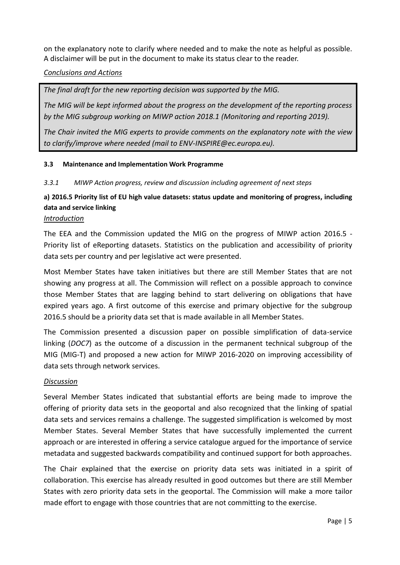on the explanatory note to clarify where needed and to make the note as helpful as possible. A disclaimer will be put in the document to make its status clear to the reader.

*Conclusions and Actions*

*The final draft for the new reporting decision was supported by the MIG.* 

*The MIG will be kept informed about the progress on the development of the reporting process by the MIG subgroup working on MIWP action 2018.1 (Monitoring and reporting 2019).*

*The Chair invited the MIG experts to provide comments on the explanatory note with the view to clarify/improve where needed (mail to ENV-INSPIRE@ec.europa.eu).* 

#### **3.3 Maintenance and Implementation Work Programme**

*3.3.1 MIWP Action progress, review and discussion including agreement of next steps*

# **a) 2016.5 Priority list of EU high value datasets: status update and monitoring of progress, including data and service linking**

#### *Introduction*

The EEA and the Commission updated the MIG on the progress of MIWP action 2016.5 - Priority list of eReporting datasets. Statistics on the publication and accessibility of priority data sets per country and per legislative act were presented.

Most Member States have taken initiatives but there are still Member States that are not showing any progress at all. The Commission will reflect on a possible approach to convince those Member States that are lagging behind to start delivering on obligations that have expired years ago. A first outcome of this exercise and primary objective for the subgroup 2016.5 should be a priority data set that is made available in all Member States.

The Commission presented a discussion paper on possible simplification of data-service linking (*[DOC7](https://webgate.ec.europa.eu/fpfis/wikis/download/attachments/298660106/%5BDOC7%5D_Discussion%20Paper%20on%20data-service%20linking%20v0.5.pdf?version=1&modificationDate=1542643345312&api=v2)*) as the outcome of a discussion in the permanent technical subgroup of the MIG (MIG-T) and proposed a new action for MIWP 2016-2020 on improving accessibility of data sets through network services.

### *Discussion*

Several Member States indicated that substantial efforts are being made to improve the offering of priority data sets in the geoportal and also recognized that the linking of spatial data sets and services remains a challenge. The suggested simplification is welcomed by most Member States. Several Member States that have successfully implemented the current approach or are interested in offering a service catalogue argued for the importance of service metadata and suggested backwards compatibility and continued support for both approaches.

The Chair explained that the exercise on priority data sets was initiated in a spirit of collaboration. This exercise has already resulted in good outcomes but there are still Member States with zero priority data sets in the geoportal. The Commission will make a more tailor made effort to engage with those countries that are not committing to the exercise.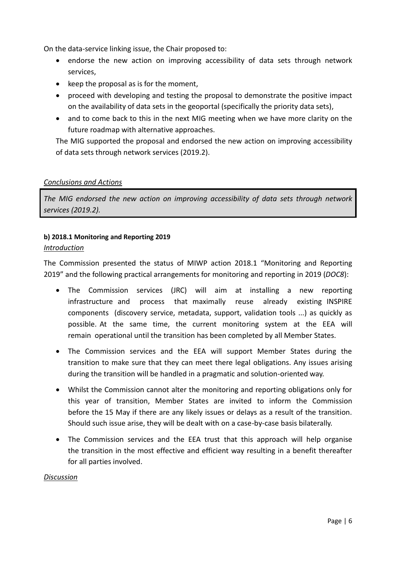On the data-service linking issue, the Chair proposed to:

- endorse the new action on improving accessibility of data sets through network services,
- $\bullet$  keep the proposal as is for the moment,
- proceed with developing and testing the proposal to demonstrate the positive impact on the availability of data sets in the geoportal (specifically the priority data sets),
- and to come back to this in the next MIG meeting when we have more clarity on the future roadmap with alternative approaches.

The MIG supported the proposal and endorsed the new action on improving accessibility of data sets through network services (2019.2).

#### *Conclusions and Actions*

*The MIG endorsed the new action on improving accessibility of data sets through network services (2019.2).*

#### **b) 2018.1 Monitoring and Reporting 2019** *Introduction*

The Commission presented the status of MIWP action 2018.1 "Monitoring and Reporting 2019" and the following practical arrangements for monitoring and reporting in 2019 (*[DOC8](https://webgate.ec.europa.eu/fpfis/wikis/download/attachments/298660106/%5BDOC8%5D_MIWP_2018.1_Monitoring%20and%20reporting%202019.pdf?version=1&modificationDate=1542643378298&api=v2)*):

- The Commission services (JRC) will aim at installing a new reporting infrastructure and process that maximally reuse already existing INSPIRE components (discovery service, metadata, support, validation tools ...) as quickly as possible. At the same time, the current monitoring system at the EEA will remain operational until the transition has been completed by all Member States.
- The Commission services and the EEA will support Member States during the transition to make sure that they can meet there legal obligations. Any issues arising during the transition will be handled in a pragmatic and solution-oriented way.
- Whilst the Commission cannot alter the monitoring and reporting obligations only for this year of transition, Member States are invited to inform the Commission before the 15 May if there are any likely issues or delays as a result of the transition. Should such issue arise, they will be dealt with on a case-by-case basis bilaterally.
- The Commission services and the EEA trust that this approach will help organise the transition in the most effective and efficient way resulting in a benefit thereafter for all parties involved.

#### *Discussion*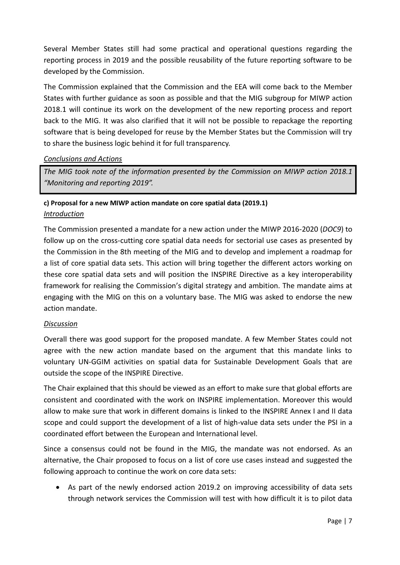Several Member States still had some practical and operational questions regarding the reporting process in 2019 and the possible reusability of the future reporting software to be developed by the Commission.

The Commission explained that the Commission and the EEA will come back to the Member States with further guidance as soon as possible and that the MIG subgroup for MIWP action 2018.1 will continue its work on the development of the new reporting process and report back to the MIG. It was also clarified that it will not be possible to repackage the reporting software that is being developed for reuse by the Member States but the Commission will try to share the business logic behind it for full transparency.

### *Conclusions and Actions*

*The MIG took note of the information presented by the Commission on MIWP action 2018.1 "Monitoring and reporting 2019".*

# **c) Proposal for a new MIWP action mandate on core spatial data (2019.1)** *Introduction*

The Commission presented a mandate for a new action under the MIWP 2016-2020 (*[DOC9](https://webgate.ec.europa.eu/fpfis/wikis/download/attachments/298660106/%5BDOC9%5D_MIWP%202019.3%20Core%20Spatial%20Data.pdf?version=1&modificationDate=1542890083644&api=v2)*) to follow up on the cross-cutting core spatial data needs for sectorial use cases as presented by the Commission in the 8th meeting of the MIG and to develop and implement a roadmap for a list of core spatial data sets. This action will bring together the different actors working on these core spatial data sets and will position the INSPIRE Directive as a key interoperability framework for realising the Commission's digital strategy and ambition. The mandate aims at engaging with the MIG on this on a voluntary base. The MIG was asked to endorse the new action mandate.

### *Discussion*

Overall there was good support for the proposed mandate. A few Member States could not agree with the new action mandate based on the argument that this mandate links to voluntary UN-GGIM activities on spatial data for Sustainable Development Goals that are outside the scope of the INSPIRE Directive.

The Chair explained that this should be viewed as an effort to make sure that global efforts are consistent and coordinated with the work on INSPIRE implementation. Moreover this would allow to make sure that work in different domains is linked to the INSPIRE Annex I and II data scope and could support the development of a list of high-value data sets under the PSI in a coordinated effort between the European and International level.

Since a consensus could not be found in the MIG, the mandate was not endorsed. As an alternative, the Chair proposed to focus on a list of core use cases instead and suggested the following approach to continue the work on core data sets:

 As part of the newly endorsed action 2019.2 on improving accessibility of data sets through network services the Commission will test with how difficult it is to pilot data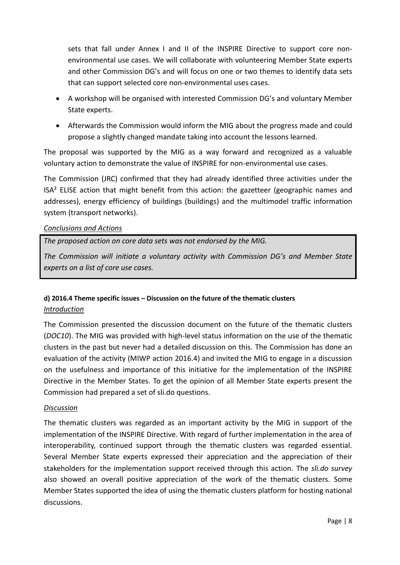sets that fall under Annex I and II of the INSPIRE Directive to support core nonenvironmental use cases. We will collaborate with volunteering Member State experts and other Commission DG's and will focus on one or two themes to identify data sets that can support selected core non-environmental uses cases.

- A workshop will be organised with interested Commission DG's and voluntary Member State experts.
- Afterwards the Commission would inform the MIG about the progress made and could propose a slightly changed mandate taking into account the lessons learned.

The proposal was supported by the MIG as a way forward and recognized as a valuable voluntary action to demonstrate the value of INSPIRE for non-environmental use cases.

The Commission (JRC) confirmed that they had already identified three activities under the  $ISA<sup>2</sup>$  ELISE action that might benefit from this action: the gazetteer (geographic names and addresses), energy efficiency of buildings (buildings) and the multimodel traffic information system (transport networks).

### *Conclusions and Actions*

*The proposed action on core data sets was not endorsed by the MIG.*

*The Commission will initiate a voluntary activity with Commission DG's and Member State experts on a list of core use cases.*

# **d) 2016.4 Theme specific issues – Discussion on the future of the thematic clusters** *Introduction*

The Commission presented the discussion document on the future of the thematic clusters (*[DOC10](https://webgate.ec.europa.eu/fpfis/wikis/download/attachments/298660106/%5BDOC10%5D_2016.4%20Theme%20specific%20issues.pdf?version=1&modificationDate=1542643560310&api=v2)*). The MIG was provided with high-level status information on the use of the thematic clusters in the past but never had a detailed discussion on this. The Commission has done an evaluation of the activity (MIWP action 2016.4) and invited the MIG to engage in a discussion on the usefulness and importance of this initiative for the implementation of the INSPIRE Directive in the Member States. To get the opinion of all Member State experts present the Commission had prepared a set of sli.do questions.

### *Discussion*

The thematic clusters was regarded as an important activity by the MIG in support of the implementation of the INSPIRE Directive. With regard of further implementation in the area of interoperability, continued support through the thematic clusters was regarded essential. Several Member State experts expressed their appreciation and the appreciation of their stakeholders for the implementation support received through this action. The *[sli.do survey](https://webgate.ec.europa.eu/fpfis/wikis/download/attachments/298660106/Sli.do%20results%20MIG-9.pdf?version=1&modificationDate=1548057398524&api=v2)* also showed an overall positive appreciation of the work of the thematic clusters. Some Member States supported the idea of using the thematic clusters platform for hosting national discussions.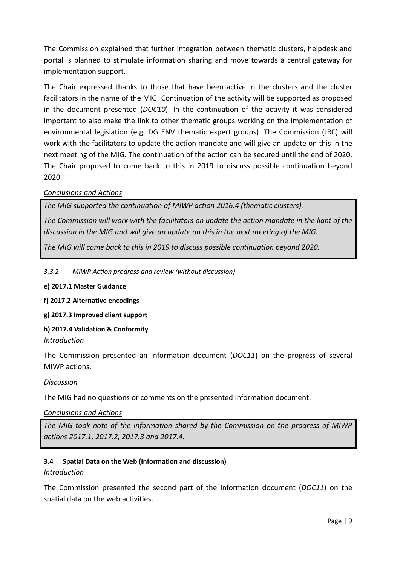The Commission explained that further integration between thematic clusters, helpdesk and portal is planned to stimulate information sharing and move towards a central gateway for implementation support.

The Chair expressed thanks to those that have been active in the clusters and the cluster facilitators in the name of the MIG. Continuation of the activity will be supported as proposed in the document presented (*[DOC10](https://webgate.ec.europa.eu/fpfis/wikis/download/attachments/298660106/%5BDOC10%5D_2016.4%20Theme%20specific%20issues.pdf?version=1&modificationDate=1542643560310&api=v2)*). In the continuation of the activity it was considered important to also make the link to other thematic groups working on the implementation of environmental legislation (e.g. DG ENV thematic expert groups). The Commission (JRC) will work with the facilitators to update the action mandate and will give an update on this in the next meeting of the MIG. The continuation of the action can be secured until the end of 2020. The Chair proposed to come back to this in 2019 to discuss possible continuation beyond 2020.

### *Conclusions and Actions*

*The MIG supported the continuation of MIWP action 2016.4 (thematic clusters).*

*The Commission will work with the facilitators on update the action mandate in the light of the discussion in the MIG and will give an update on this in the next meeting of the MIG.*

*The MIG will come back to this in 2019 to discuss possible continuation beyond 2020.*

#### *3.3.2 MIWP Action progress and review (without discussion)*

- **e) 2017.1 Master Guidance**
- **f) 2017.2 Alternative encodings**
- **g) 2017.3 Improved client support**

#### **h) 2017.4 Validation & Conformity**

#### *Introduction*

The Commission presented an information document (*[DOC11](https://webgate.ec.europa.eu/fpfis/wikis/download/attachments/298660106/%5BDOC11%5D_Status%20report%20MIWP%20actions%20and%20SDW%20ad-hoc%20actions.pdf?version=1&modificationDate=1542643594881&api=v2)*) on the progress of several MIWP actions.

#### *Discussion*

The MIG had no questions or comments on the presented information document.

#### *Conclusions and Actions*

*The MIG took note of the information shared by the Commission on the progress of MIWP actions 2017.1, 2017.2, 2017.3 and 2017.4.*

# **3.4 Spatial Data on the Web (Information and discussion)**

#### *Introduction*

The Commission presented the second part of the information document (*[DOC11](https://webgate.ec.europa.eu/fpfis/wikis/download/attachments/298660106/%5BDOC11%5D_Status%20report%20MIWP%20actions%20and%20SDW%20ad-hoc%20actions.pdf?version=1&modificationDate=1542643594881&api=v2)*) on the spatial data on the web activities.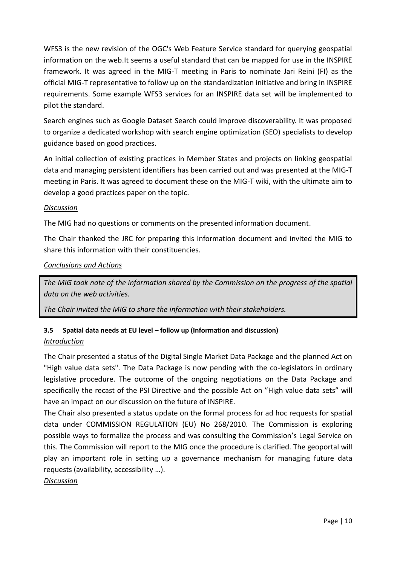WFS3 is the new revision of the OGC's Web Feature Service standard for querying geospatial information on the web.It seems a useful standard that can be mapped for use in the INSPIRE framework. It was agreed in the MIG-T meeting in Paris to nominate Jari Reini (FI) as the official MIG-T representative to follow up on the standardization initiative and bring in INSPIRE requirements. Some example WFS3 services for an INSPIRE data set will be implemented to pilot the standard.

Search engines such as Google Dataset Search could improve discoverability. It was proposed to organize a dedicated workshop with search engine optimization (SEO) specialists to develop guidance based on good practices.

An initial collection of existing practices in Member States and projects on linking geospatial data and managing persistent identifiers has been carried out and was presented at the MIG-T meeting in Paris. It was agreed to document these on the MIG-T wiki, with the ultimate aim to develop a good practices paper on the topic.

### *Discussion*

The MIG had no questions or comments on the presented information document.

The Chair thanked the JRC for preparing this information document and invited the MIG to share this information with their constituencies.

#### *Conclusions and Actions*

*The MIG took note of the information shared by the Commission on the progress of the spatial data on the web activities.* 

*The Chair invited the MIG to share the information with their stakeholders.* 

# **3.5 Spatial data needs at EU level – follow up (Information and discussion)** *Introduction*

The Chair presented a status of the Digital Single Market Data Package and the planned Act on "High value data sets". The Data Package is now pending with the co-legislators in ordinary legislative procedure. The outcome of the ongoing negotiations on the Data Package and specifically the recast of the PSI Directive and the possible Act on "High value data sets" will have an impact on our discussion on the future of INSPIRE.

The Chair also presented a status update on the formal process for ad hoc requests for spatial data under COMMISSION REGULATION (EU) No 268/2010. The Commission is exploring possible ways to formalize the process and was consulting the Commission's Legal Service on this. The Commission will report to the MIG once the procedure is clarified. The geoportal will play an important role in setting up a governance mechanism for managing future data requests (availability, accessibility …).

*Discussion*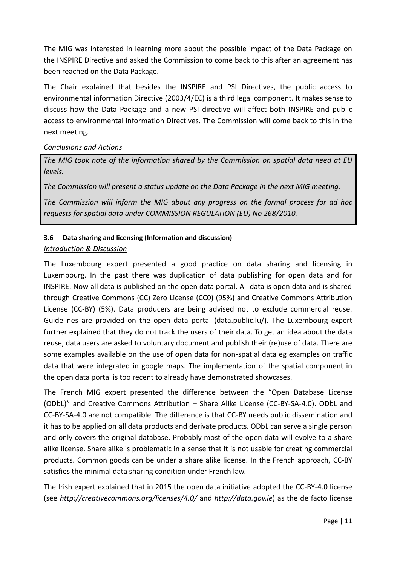The MIG was interested in learning more about the possible impact of the Data Package on the INSPIRE Directive and asked the Commission to come back to this after an agreement has been reached on the Data Package.

The Chair explained that besides the INSPIRE and PSI Directives, the public access to environmental information Directive (2003/4/EC) is a third legal component. It makes sense to discuss how the Data Package and a new PSI directive will affect both INSPIRE and public access to environmental information Directives. The Commission will come back to this in the next meeting.

### *Conclusions and Actions*

*The MIG took note of the information shared by the Commission on spatial data need at EU levels.*

*The Commission will present a status update on the Data Package in the next MIG meeting.*

*The Commission will inform the MIG about any progress on the formal process for ad hoc requests for spatial data under COMMISSION REGULATION (EU) No 268/2010.*

### **3.6 Data sharing and licensing (Information and discussion)**

### *Introduction & Discussion*

The Luxembourg expert presented a good practice on data sharing and licensing in Luxembourg. In the past there was duplication of data publishing for open data and for INSPIRE. Now all data is published on the open data portal. All data is open data and is shared through Creative Commons (CC) Zero License (CC0) (95%) and Creative Commons Attribution License (CC-BY) (5%). Data producers are being advised not to exclude commercial reuse. Guidelines are provided on the open data portal (data.public.lu/). The Luxembourg expert further explained that they do not track the users of their data. To get an idea about the data reuse, data users are asked to voluntary document and publish their (re)use of data. There are some examples available on the use of open data for non-spatial data eg examples on traffic data that were integrated in google maps. The implementation of the spatial component in the open data portal is too recent to already have demonstrated showcases.

The French MIG expert presented the difference between the "Open Database License (ODbL)" and Creative Commons Attribution – Share Alike License (CC-BY-SA-4.0). ODbL and CC-BY-SA-4.0 are not compatible. The difference is that CC-BY needs public dissemination and it has to be applied on all data products and derivate products. ODbL can serve a single person and only covers the original database. Probably most of the open data will evolve to a share alike license. Share alike is problematic in a sense that it is not usable for creating commercial products. Common goods can be under a share alike license. In the French approach, CC-BY satisfies the minimal data sharing condition under French law.

The Irish expert explained that in 2015 the open data initiative adopted the CC-BY-4.0 license (see *<http://creativecommons.org/licenses/4.0/>* and *[http://data.gov.ie](http://data.gov.ie/)*) as the de facto license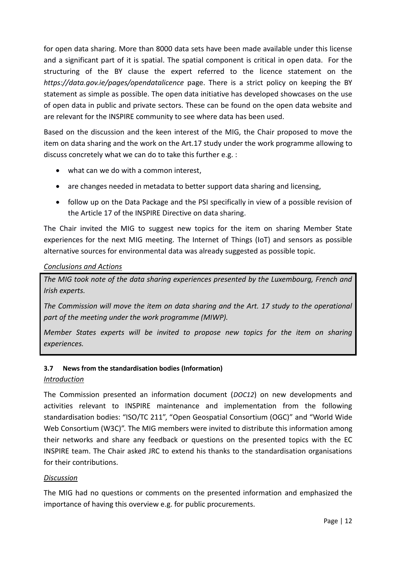for open data sharing. More than 8000 data sets have been made available under this license and a significant part of it is spatial. The spatial component is critical in open data. For the structuring of the BY clause the expert referred to the licence statement on the *https://data.gov.ie/pages/opendatalicence* page. There is a strict policy on keeping the BY statement as simple as possible. The open data initiative has developed showcases on the use of open data in public and private sectors. These can be found on the open data website and are relevant for the INSPIRE community to see where data has been used.

Based on the discussion and the keen interest of the MIG, the Chair proposed to move the item on data sharing and the work on the Art.17 study under the work programme allowing to discuss concretely what we can do to take this further e.g. :

- what can we do with a common interest,
- are changes needed in metadata to better support data sharing and licensing,
- follow up on the Data Package and the PSI specifically in view of a possible revision of the Article 17 of the INSPIRE Directive on data sharing.

The Chair invited the MIG to suggest new topics for the item on sharing Member State experiences for the next MIG meeting. The Internet of Things (IoT) and sensors as possible alternative sources for environmental data was already suggested as possible topic.

#### *Conclusions and Actions*

*The MIG took note of the data sharing experiences presented by the Luxembourg, French and Irish experts.*

*The Commission will move the item on data sharing and the Art. 17 study to the operational part of the meeting under the work programme (MIWP).*

*Member States experts will be invited to propose new topics for the item on sharing experiences.* 

### **3.7 News from the standardisation bodies (Information)**

#### *Introduction*

The Commission presented an information document (*[DOC12](https://webgate.ec.europa.eu/fpfis/wikis/download/attachments/298660106/%5BDOC12%5D_News%20from%20Standardisation%20Bodies.pdf?version=1&modificationDate=1542643637656&api=v2)*) on new developments and activities relevant to INSPIRE maintenance and implementation from the following standardisation bodies: "ISO/TC 211", "Open Geospatial Consortium (OGC)" and "World Wide Web Consortium (W3C)". The MIG members were invited to distribute this information among their networks and share any feedback or questions on the presented topics with the EC INSPIRE team. The Chair asked JRC to extend his thanks to the standardisation organisations for their contributions.

### *Discussion*

The MIG had no questions or comments on the presented information and emphasized the importance of having this overview e.g. for public procurements.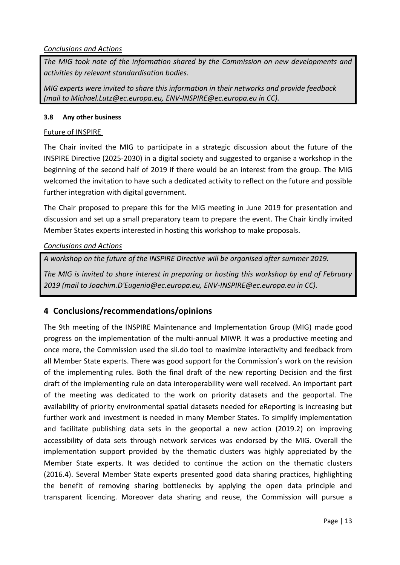### *Conclusions and Actions*

*The MIG took note of the information shared by the Commission on new developments and activities by relevant standardisation bodies.*

*MIG experts were invited to share this information in their networks and provide feedback (mail to Michael.Lutz@ec.europa.eu, ENV-INSPIRE@ec.europa.eu in CC).*

### **3.8 Any other business**

### Future of INSPIRE

The Chair invited the MIG to participate in a strategic discussion about the future of the INSPIRE Directive (2025-2030) in a digital society and suggested to organise a workshop in the beginning of the second half of 2019 if there would be an interest from the group. The MIG welcomed the invitation to have such a dedicated activity to reflect on the future and possible further integration with digital government.

The Chair proposed to prepare this for the MIG meeting in June 2019 for presentation and discussion and set up a small preparatory team to prepare the event. The Chair kindly invited Member States experts interested in hosting this workshop to make proposals.

### *Conclusions and Actions*

*A workshop on the future of the INSPIRE Directive will be organised after summer 2019.* 

*The MIG is invited to share interest in preparing or hosting this workshop by end of February 2019 (mail to Joachim.D'Eugenio@ec.europa.eu, ENV-INSPIRE@ec.europa.eu in CC).*

# **4 Conclusions/recommendations/opinions**

The 9th meeting of the INSPIRE Maintenance and Implementation Group (MIG) made good progress on the implementation of the multi-annual MIWP. It was a productive meeting and once more, the Commission used the sli.do tool to maximize interactivity and feedback from all Member State experts. There was good support for the Commission's work on the revision of the implementing rules. Both the final draft of the new reporting Decision and the first draft of the implementing rule on data interoperability were well received. An important part of the meeting was dedicated to the work on priority datasets and the geoportal. The availability of priority environmental spatial datasets needed for eReporting is increasing but further work and investment is needed in many Member States. To simplify implementation and facilitate publishing data sets in the geoportal a new action (2019.2) on improving accessibility of data sets through network services was endorsed by the MIG. Overall the implementation support provided by the thematic clusters was highly appreciated by the Member State experts. It was decided to continue the action on the thematic clusters (2016.4). Several Member State experts presented good data sharing practices, highlighting the benefit of removing sharing bottlenecks by applying the open data principle and transparent licencing. Moreover data sharing and reuse, the Commission will pursue a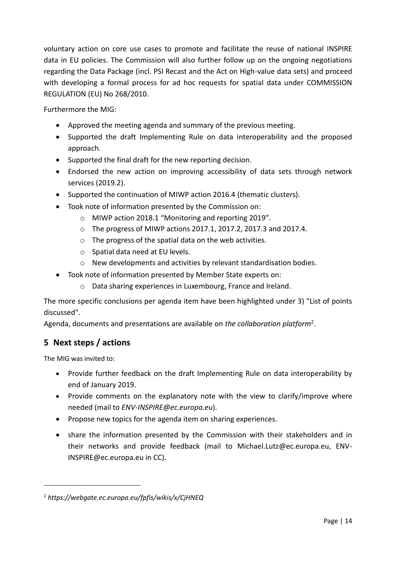voluntary action on core use cases to promote and facilitate the reuse of national INSPIRE data in EU policies. The Commission will also further follow up on the ongoing negotiations regarding the Data Package (incl. PSI Recast and the Act on High-value data sets) and proceed with developing a formal process for ad hoc requests for spatial data under COMMISSION REGULATION (EU) No 268/2010.

Furthermore the MIG:

- Approved the meeting agenda and summary of the previous meeting.
- Supported the draft Implementing Rule on data interoperability and the proposed approach.
- Supported the final draft for the new reporting decision.
- Endorsed the new action on improving accessibility of data sets through network services (2019.2).
- Supported the continuation of MIWP action 2016.4 (thematic clusters).
- Took note of information presented by the Commission on:
	- o MIWP action 2018.1 "Monitoring and reporting 2019".
	- $\circ$  The progress of MIWP actions 2017.1, 2017.2, 2017.3 and 2017.4.
	- o The progress of the spatial data on the web activities.
	- o Spatial data need at EU levels.
	- $\circ$  New developments and activities by relevant standardisation bodies.
- Took note of information presented by Member State experts on:
	- o Data sharing experiences in Luxembourg, France and Ireland.

The more specific conclusions per agenda item have been highlighted under 3) "List of points discussed".

Agenda, documents and presentations are available on *[the collaboration platform](https://ies-svn.jrc.ec.europa.eu/projects/mig-p/wiki/8th_meeting_of_the_MIG)*<sup>2</sup> .

# **5 Next steps / actions**

The MIG was invited to:

 $\overline{a}$ 

- Provide further feedback on the draft Implementing Rule on data interoperability by end of January 2019.
- Provide comments on the explanatory note with the view to clarify/improve where needed (mail to *ENV-[INSPIRE@ec.europa.eu](mailto:ENV-INSPIRE@ec.europa.eu)*).
- Propose new topics for the agenda item on sharing experiences.
- share the information presented by the Commission with their stakeholders and in their networks and provide feedback (mail to Michael.Lutz@ec.europa.eu, ENV-INSPIRE@ec.europa.eu in CC).

<sup>2</sup> *<https://webgate.ec.europa.eu/fpfis/wikis/x/CjHNEQ>*